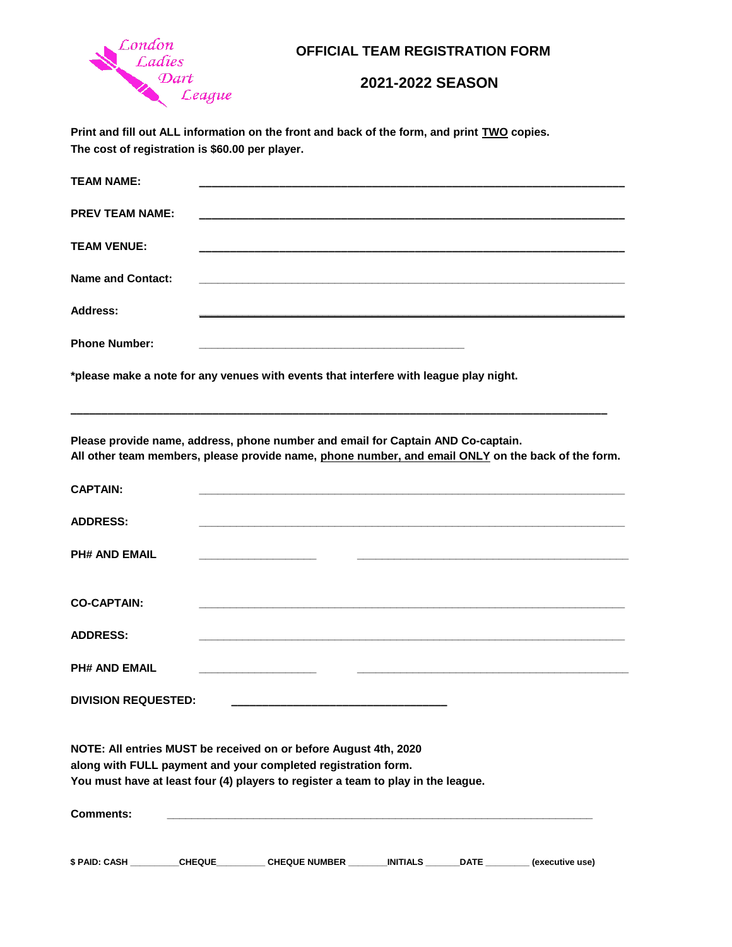

## **OFFICIAL TEAM REGISTRATION FORM**

## **2021-2022 SEASON**

**Print and fill out ALL information on the front and back of the form, and print TWO copies. The cost of registration is \$60.00 per player.** 

| <b>TEAM NAME:</b>        |                                                                                                                                                                                        |
|--------------------------|----------------------------------------------------------------------------------------------------------------------------------------------------------------------------------------|
| <b>PREV TEAM NAME:</b>   | <u> 1989 - Johann Harry Harry Harry Harry Harry Harry Harry Harry Harry Harry Harry Harry Harry Harry Harry Harry</u>                                                                  |
| <b>TEAM VENUE:</b>       |                                                                                                                                                                                        |
| <b>Name and Contact:</b> | <u> 1980 - Johann Stoff, amerikansk politik (d. 1980)</u>                                                                                                                              |
| <b>Address:</b>          |                                                                                                                                                                                        |
| <b>Phone Number:</b>     | the control of the control of the control of the control of the control of the control of                                                                                              |
|                          | *please make a note for any venues with events that interfere with league play night.                                                                                                  |
|                          | Please provide name, address, phone number and email for Captain AND Co-captain.<br>All other team members, please provide name, phone number, and email ONLY on the back of the form. |
| <b>CAPTAIN:</b>          | <u> 1989 - Johann Barn, mars ann an t-Amhainn an t-Amhainn an t-Amhainn an t-Amhainn an t-Amhainn an t-Amhainn an </u>                                                                 |
| <b>ADDRESS:</b>          |                                                                                                                                                                                        |
| <b>PH# AND EMAIL</b>     |                                                                                                                                                                                        |

| <b>CO-CAPTAIN:</b>   |  |  |
|----------------------|--|--|
| <b>ADDRESS:</b>      |  |  |
| <b>PH# AND EMAIL</b> |  |  |

**\_\_\_\_\_\_\_\_\_\_\_\_\_\_\_\_\_\_\_ \_\_\_\_\_\_\_\_\_\_\_\_\_\_\_\_\_\_\_\_\_\_\_\_\_\_\_\_\_\_\_\_\_\_\_\_\_\_\_\_\_\_\_\_**

| <b>DIVISION REQUESTED:</b> |  |
|----------------------------|--|
|                            |  |

**NOTE: All entries MUST be received on or before August 4th, 2020 along with FULL payment and your completed registration form. You must have at least four (4) players to register a team to play in the league.**

| <b>Comments:</b> |               |                      |                 |             |                 |
|------------------|---------------|----------------------|-----------------|-------------|-----------------|
|                  |               |                      |                 |             |                 |
| \$ PAID: CASH    | <b>CHEQUE</b> | <b>CHEQUE NUMBER</b> | <b>INITIALS</b> | <b>DATE</b> | (executive use) |